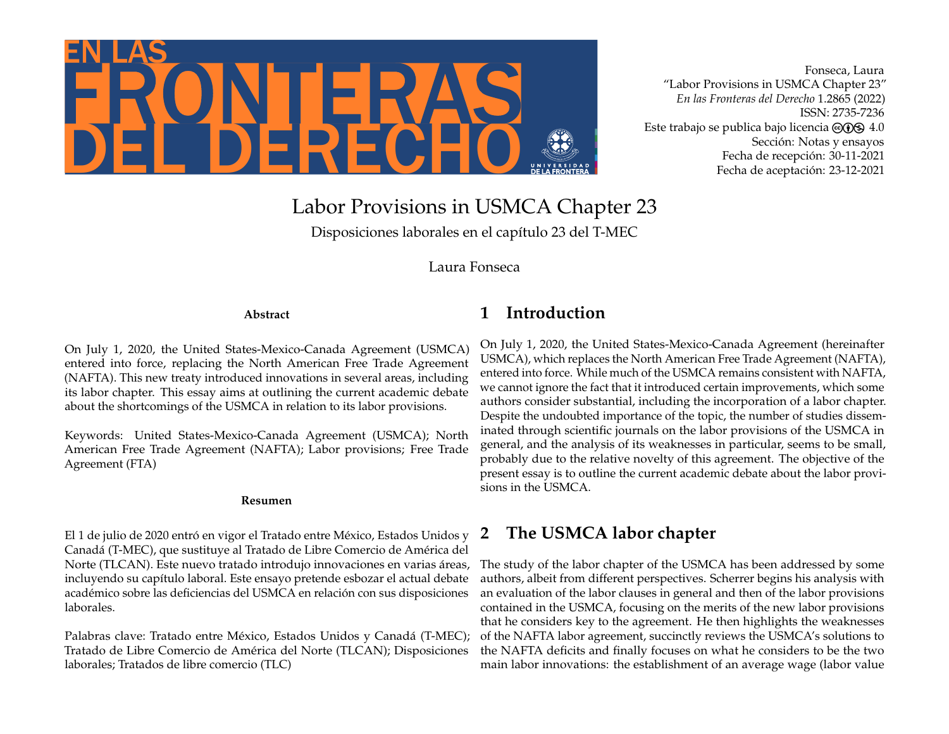

Fonseca, Laura "Labor Provisions in USMCA Chapter 23" *En las Fronteras del Derecho* 1.2865 (2022) ISSN: 2735-7236 Este trabajo se publica bajo licencia  $\Theta$  (i)  $\Theta$  4.0 Sección: Notas y ensayos Fecha de recepción: 30-11-2021 Fecha de aceptación: 23-12-2021

# Labor Provisions in USMCA Chapter 23

Disposiciones laborales en el capítulo 23 del T-MEC

Laura Fonseca

#### **Abstract**

On July 1, 2020, the United States-Mexico-Canada Agreement (USMCA) entered into force, replacing the North American Free Trade Agreement (NAFTA). This new treaty introduced innovations in several areas, including its labor chapter. This essay aims at outlining the current academic debate about the shortcomings of the USMCA in relation to its labor provisions.

Keywords: United States-Mexico-Canada Agreement (USMCA); North American Free Trade Agreement (NAFTA); Labor provisions; Free Trade Agreement (FTA)

#### **Resumen**

El 1 de julio de 2020 entró en vigor el Tratado entre México, Estados Unidos y Canadá (T-MEC), que sustituye al Tratado de Libre Comercio de América del Norte (TLCAN). Este nuevo tratado introdujo innovaciones en varias áreas, incluyendo su capítulo laboral. Este ensayo pretende esbozar el actual debate académico sobre las deficiencias del USMCA en relación con sus disposiciones laborales.

Palabras clave: Tratado entre México, Estados Unidos y Canadá (T-MEC); Tratado de Libre Comercio de América del Norte (TLCAN); Disposiciones laborales; Tratados de libre comercio (TLC)

# **1 Introduction**

On July 1, 2020, the United States-Mexico-Canada Agreement (hereinafter USMCA), which replaces the North American Free Trade Agreement (NAFTA), entered into force. While much of the USMCA remains consistent with NAFTA, we cannot ignore the fact that it introduced certain improvements, which some authors consider substantial, including the incorporation of a labor chapter. Despite the undoubted importance of the topic, the number of studies disseminated through scientific journals on the labor provisions of the USMCA in general, and the analysis of its weaknesses in particular, seems to be small, probably due to the relative novelty of this agreement. The objective of the present essay is to outline the current academic debate about the labor provisions in the USMCA.

# **2 The USMCA labor chapter**

The study of the labor chapter of the USMCA has been addressed by some authors, albeit from different perspectives. Scherrer begins his analysis with an evaluation of the labor clauses in general and then of the labor provisions contained in the USMCA, focusing on the merits of the new labor provisions that he considers key to the agreement. He then highlights the weaknesses of the NAFTA labor agreement, succinctly reviews the USMCA's solutions to the NAFTA deficits and finally focuses on what he considers to be the two main labor innovations: the establishment of an average wage (labor value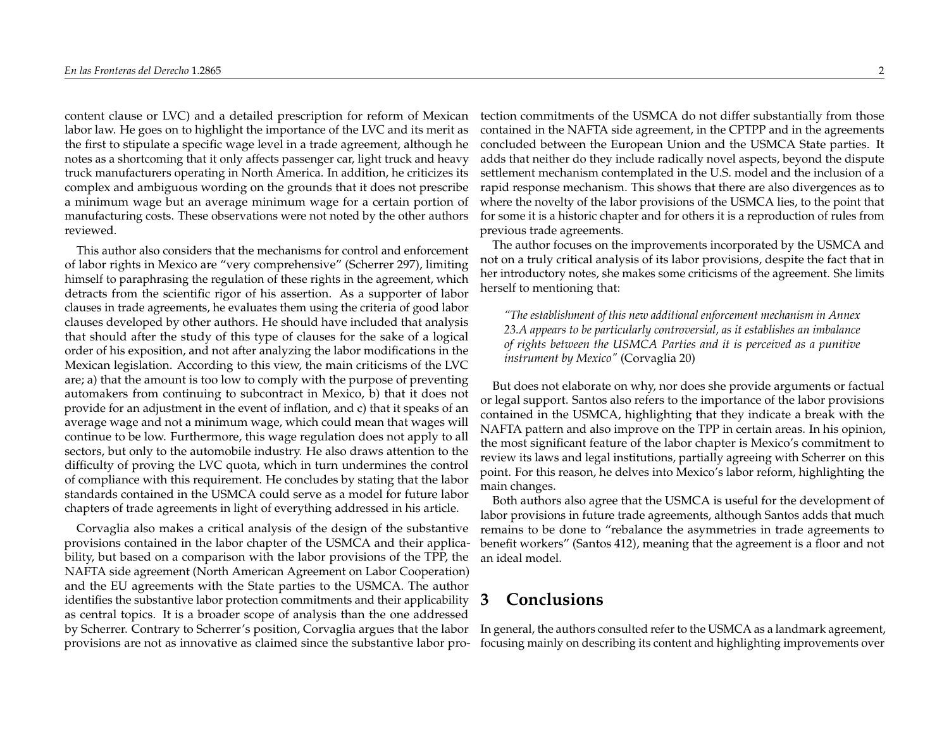content clause or LVC) and a detailed prescription for reform of Mexican labor law. He goes on to highlight the importance of the LVC and its merit as the first to stipulate a specific wage level in a trade agreement, although he notes as a shortcoming that it only affects passenger car, light truck and heavy truck manufacturers operating in North America. In addition, he criticizes its complex and ambiguous wording on the grounds that it does not prescribe a minimum wage but an average minimum wage for a certain portion of manufacturing costs. These observations were not noted by the other authors reviewed.

This author also considers that the mechanisms for control and enforcement of labor rights in Mexico are "very comprehensive" (Scherrer 297), limiting himself to paraphrasing the regulation of these rights in the agreement, which detracts from the scientific rigor of his assertion. As a supporter of labor clauses in trade agreements, he evaluates them using the criteria of good labor clauses developed by other authors. He should have included that analysis that should after the study of this type of clauses for the sake of a logical order of his exposition, and not after analyzing the labor modifications in the Mexican legislation. According to this view, the main criticisms of the LVC are; a) that the amount is too low to comply with the purpose of preventing automakers from continuing to subcontract in Mexico, b) that it does not provide for an adjustment in the event of inflation, and c) that it speaks of an average wage and not a minimum wage, which could mean that wages will continue to be low. Furthermore, this wage regulation does not apply to all sectors, but only to the automobile industry. He also draws attention to the difficulty of proving the LVC quota, which in turn undermines the control of compliance with this requirement. He concludes by stating that the labor standards contained in the USMCA could serve as a model for future labor chapters of trade agreements in light of everything addressed in his article.

Corvaglia also makes a critical analysis of the design of the substantive provisions contained in the labor chapter of the USMCA and their applicability, but based on a comparison with the labor provisions of the TPP, the NAFTA side agreement (North American Agreement on Labor Cooperation) and the EU agreements with the State parties to the USMCA. The author identifies the substantive labor protection commitments and their applicability as central topics. It is a broader scope of analysis than the one addressed by Scherrer. Contrary to Scherrer's position, Corvaglia argues that the labor provisions are not as innovative as claimed since the substantive labor pro-

tection commitments of the USMCA do not differ substantially from those contained in the NAFTA side agreement, in the CPTPP and in the agreements concluded between the European Union and the USMCA State parties. It adds that neither do they include radically novel aspects, beyond the dispute settlement mechanism contemplated in the U.S. model and the inclusion of a rapid response mechanism. This shows that there are also divergences as to where the novelty of the labor provisions of the USMCA lies, to the point that for some it is a historic chapter and for others it is a reproduction of rules from previous trade agreements.

The author focuses on the improvements incorporated by the USMCA and not on a truly critical analysis of its labor provisions, despite the fact that in her introductory notes, she makes some criticisms of the agreement. She limits herself to mentioning that:

*"The establishment of this new additional enforcement mechanism in Annex 23.A appears to be particularly controversial, as it establishes an imbalance of rights between the USMCA Parties and it is perceived as a punitive instrument by Mexico"* (Corvaglia 20)

But does not elaborate on why, nor does she provide arguments or factual or legal support. Santos also refers to the importance of the labor provisions contained in the USMCA, highlighting that they indicate a break with the NAFTA pattern and also improve on the TPP in certain areas. In his opinion, the most significant feature of the labor chapter is Mexico's commitment to review its laws and legal institutions, partially agreeing with Scherrer on this point. For this reason, he delves into Mexico's labor reform, highlighting the main changes.

Both authors also agree that the USMCA is useful for the development of labor provisions in future trade agreements, although Santos adds that much remains to be done to "rebalance the asymmetries in trade agreements to benefit workers" (Santos 412), meaning that the agreement is a floor and not an ideal model.

### **3 Conclusions**

In general, the authors consulted refer to the USMCA as a landmark agreement, focusing mainly on describing its content and highlighting improvements over